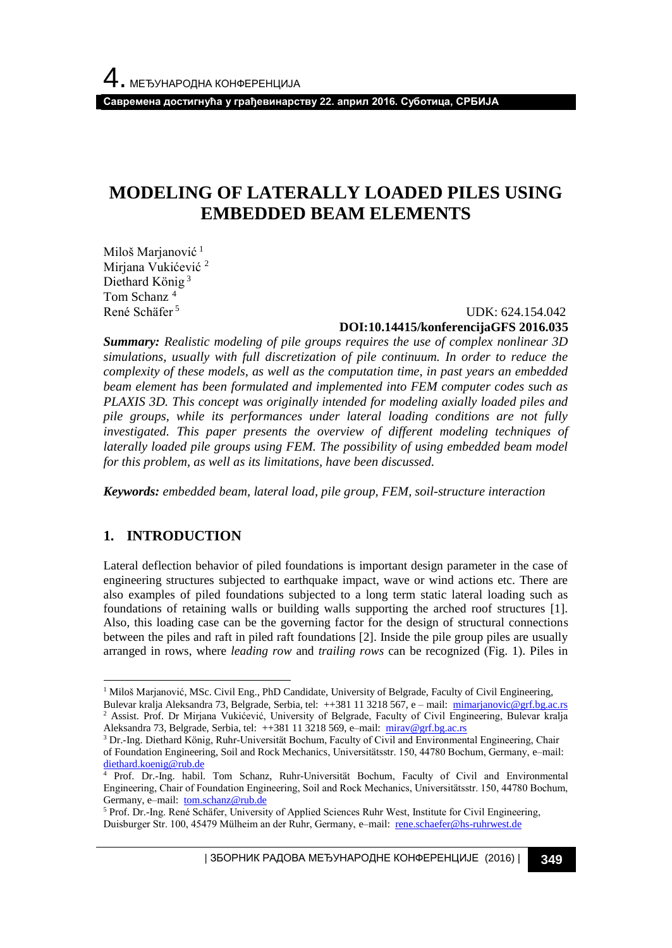**Савремена достигнућа у грађевинарству 22. април 2016. Суботица, СРБИЈА**

# **MODELING OF LATERALLY LOADED PILES USING EMBEDDED BEAM ELEMENTS**

Miloš Marjanović<sup>1</sup> Mirjana Vukićević <sup>2</sup> Diethard König <sup>3</sup> Tom Schanz<sup>4</sup> René Schäfer <sup>5</sup>

#### UDK: 624.154.042 **DOI:10.14415/konferencijaGFS 2016.035**

*Summary: Realistic modeling of pile groups requires the use of complex nonlinear 3D simulations, usually with full discretization of pile continuum. In order to reduce the complexity of these models, as well as the computation time, in past years an embedded beam element has been formulated and implemented into FEM computer codes such as PLAXIS 3D. This concept was originally intended for modeling axially loaded piles and pile groups, while its performances under lateral loading conditions are not fully investigated. This paper presents the overview of different modeling techniques of laterally loaded pile groups using FEM. The possibility of using embedded beam model for this problem, as well as its limitations, have been discussed.*

*Keywords: embedded beam, lateral load, pile group, FEM, soil-structure interaction*

# **1. INTRODUCTION**

l

Lateral deflection behavior of piled foundations is important design parameter in the case of engineering structures subjected to earthquake impact, wave or wind actions etc. There are also examples of piled foundations subjected to a long term static lateral loading such as foundations of retaining walls or building walls supporting the arched roof structures [1]. Also, this loading case can be the governing factor for the design of structural connections between the piles and raft in piled raft foundations [2]. Inside the pile group piles are usually arranged in rows, where *leading row* and *trailing rows* can be recognized (Fig. 1). Piles in

 $1$  Miloš Marjanović, MSc. Civil Eng., PhD Candidate, University of Belgrade, Faculty of Civil Engineering, Bulevar kralja Aleksandra 73, Belgrade, Serbia, tel: ++381 11 3218 567, e – mail: [mimarjanovic@grf.bg.ac.rs](mailto:mimarjanovic@grf.bg.ac.rs) <sup>2</sup> Assist. Prof. Dr Mirjana Vukićević, University of Belgrade, Faculty of Civil Engineering, Bulevar kralja

Aleksandra 73, Belgrade, Serbia, tel: ++381 11 3218 569, e–mail: [mirav@grf.bg.ac.rs](mailto:mirav@grf.bg.ac.rs)

<sup>&</sup>lt;sup>3</sup> Dr.-Ing. Diethard König, Ruhr-Universität Bochum, Faculty of Civil and Environmental Engineering, Chair of Foundation Engineering, Soil and Rock Mechanics, Universitätsstr. 150, 44780 Bochum, Germany, e–mail: [diethard.koenig@rub.de](mailto:diethard.koenig@rub.de)

<sup>&</sup>lt;sup>4</sup> Prof. Dr.-Ing. habil. Tom Schanz, Ruhr-Universität Bochum, Faculty of Civil and Environmental Engineering, Chair of Foundation Engineering, Soil and Rock Mechanics, Universitätsstr. 150, 44780 Bochum, Germany, e–mail: [tom.schanz@rub.de](mailto:tom.schanz@rub.de)

<sup>5</sup> Prof. Dr.-Ing. René Schäfer, University of Applied Sciences Ruhr West, Institute for Civil Engineering, Duisburger Str. 100, 45479 Mülheim an der Ruhr, Germany, e–mail: [rene.schaefer@hs-ruhrwest.de](mailto:rene.schaefer@hs-ruhrwest.de)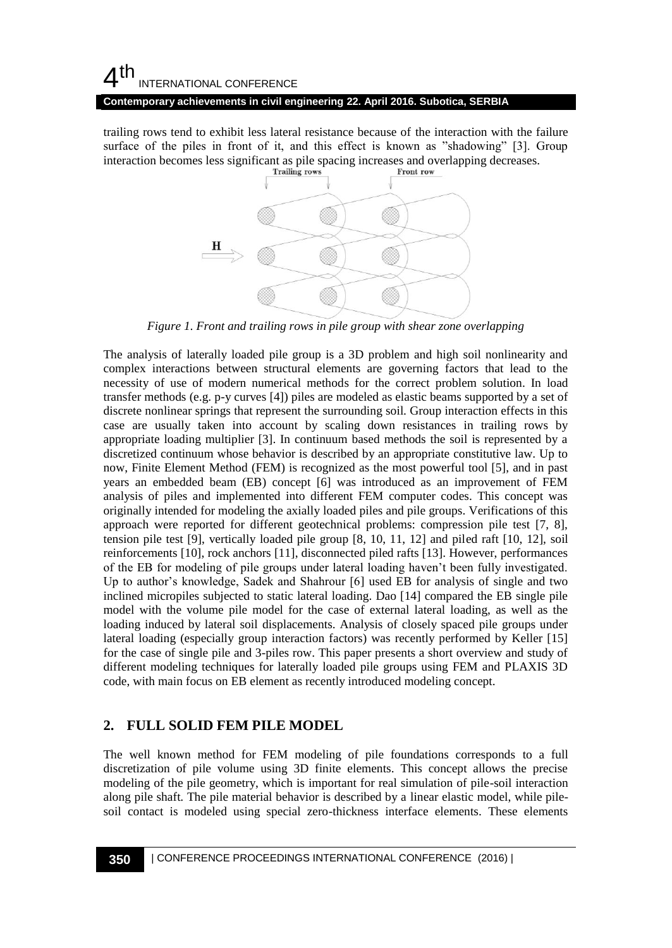#### **Contemporary achievements in civil engineering 22. April 2016. Subotica, SERBIA**

trailing rows tend to exhibit less lateral resistance because of the interaction with the failure surface of the piles in front of it, and this effect is known as "shadowing" [3]. Group interaction becomes less significant as pile spacing increases and overlapping decreases.



*Figure 1. Front and trailing rows in pile group with shear zone overlapping*

The analysis of laterally loaded pile group is a 3D problem and high soil nonlinearity and complex interactions between structural elements are governing factors that lead to the necessity of use of modern numerical methods for the correct problem solution. In load transfer methods (e.g. p-y curves [4]) piles are modeled as elastic beams supported by a set of discrete nonlinear springs that represent the surrounding soil. Group interaction effects in this case are usually taken into account by scaling down resistances in trailing rows by appropriate loading multiplier [3]. In continuum based methods the soil is represented by a discretized continuum whose behavior is described by an appropriate constitutive law. Up to now, Finite Element Method (FEM) is recognized as the most powerful tool [5], and in past years an embedded beam (EB) concept [6] was introduced as an improvement of FEM analysis of piles and implemented into different FEM computer codes. This concept was originally intended for modeling the axially loaded piles and pile groups. Verifications of this approach were reported for different geotechnical problems: compression pile test [7, 8], tension pile test [9], vertically loaded pile group [8, 10, 11, 12] and piled raft [10, 12], soil reinforcements [10], rock anchors [11], disconnected piled rafts [13]. However, performances of the EB for modeling of pile groups under lateral loading haven't been fully investigated. Up to author's knowledge, Sadek and Shahrour [6] used EB for analysis of single and two inclined micropiles subjected to static lateral loading. Dao [14] compared the EB single pile model with the volume pile model for the case of external lateral loading, as well as the loading induced by lateral soil displacements. Analysis of closely spaced pile groups under lateral loading (especially group interaction factors) was recently performed by Keller [15] for the case of single pile and 3-piles row. This paper presents a short overview and study of different modeling techniques for laterally loaded pile groups using FEM and PLAXIS 3D code, with main focus on EB element as recently introduced modeling concept.

# **2. FULL SOLID FEM PILE MODEL**

The well known method for FEM modeling of pile foundations corresponds to a full discretization of pile volume using 3D finite elements. This concept allows the precise modeling of the pile geometry, which is important for real simulation of pile-soil interaction along pile shaft. The pile material behavior is described by a linear elastic model, while pilesoil contact is modeled using special zero-thickness interface elements. These elements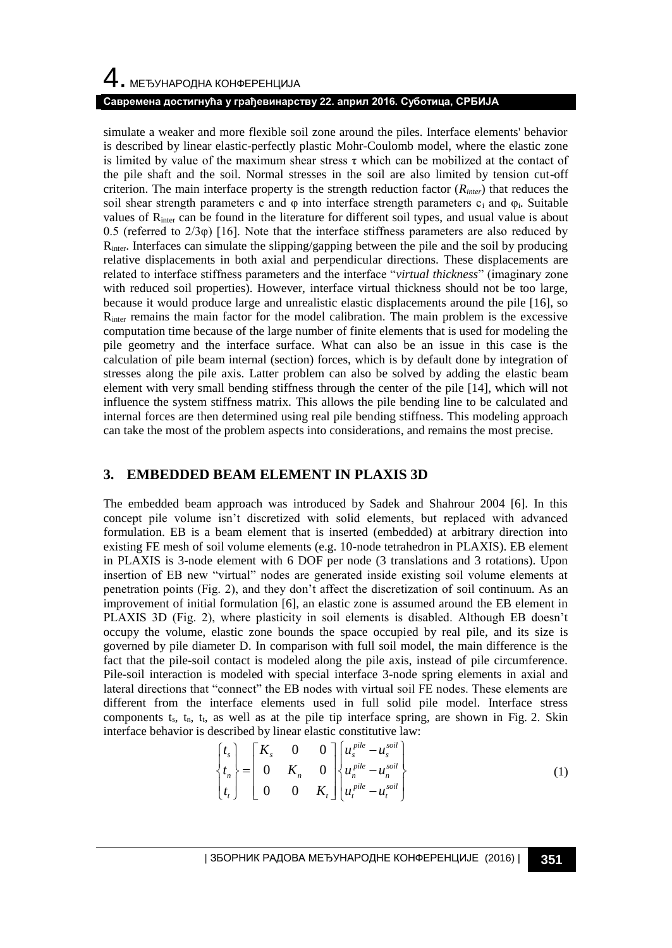# 4. МЕЂУНАРОДНА КОНФЕРЕНЦИЈА

#### **Савремена достигнућа у грађевинарству 22. април 2016. Суботица, СРБИЈА**

simulate a weaker and more flexible soil zone around the piles. Interface elements' behavior is described by linear elastic-perfectly plastic Mohr-Coulomb model, where the elastic zone is limited by value of the maximum shear stress  $\tau$  which can be mobilized at the contact of the pile shaft and the soil. Normal stresses in the soil are also limited by tension cut-off criterion. The main interface property is the strength reduction factor  $(R<sub>inter</sub>)$  that reduces the soil shear strength parameters c and  $\varphi$  into interface strength parameters c<sub>i</sub> and  $\varphi_i$ . Suitable values of R<sub>inter</sub> can be found in the literature for different soil types, and usual value is about 0.5 (referred to  $2/3\varphi$ ) [16]. Note that the interface stiffness parameters are also reduced by  $R<sub>inter</sub>$ . Interfaces can simulate the slipping/gapping between the pile and the soil by producing relative displacements in both axial and perpendicular directions. These displacements are related to interface stiffness parameters and the interface "*virtual thickness*" (imaginary zone with reduced soil properties). However, interface virtual thickness should not be too large, because it would produce large and unrealistic elastic displacements around the pile [16], so Rinter remains the main factor for the model calibration. The main problem is the excessive computation time because of the large number of finite elements that is used for modeling the pile geometry and the interface surface. What can also be an issue in this case is the calculation of pile beam internal (section) forces, which is by default done by integration of stresses along the pile axis. Latter problem can also be solved by adding the elastic beam element with very small bending stiffness through the center of the pile [14], which will not influence the system stiffness matrix. This allows the pile bending line to be calculated and internal forces are then determined using real pile bending stiffness. This modeling approach can take the most of the problem aspects into considerations, and remains the most precise.

#### **3. EMBEDDED BEAM ELEMENT IN PLAXIS 3D**

The embedded beam approach was introduced by Sadek and Shahrour 2004 [6]. In this concept pile volume isn't discretized with solid elements, but replaced with advanced formulation. EB is a beam element that is inserted (embedded) at arbitrary direction into existing FE mesh of soil volume elements (e.g. 10-node tetrahedron in PLAXIS). EB element in PLAXIS is 3-node element with 6 DOF per node (3 translations and 3 rotations). Upon insertion of EB new "virtual" nodes are generated inside existing soil volume elements at penetration points (Fig. 2), and they don't affect the discretization of soil continuum. As an improvement of initial formulation [6], an elastic zone is assumed around the EB element in PLAXIS 3D (Fig. 2), where plasticity in soil elements is disabled. Although EB doesn't occupy the volume, elastic zone bounds the space occupied by real pile, and its size is governed by pile diameter D. In comparison with full soil model, the main difference is the fact that the pile-soil contact is modeled along the pile axis, instead of pile circumference. Pile-soil interaction is modeled with special interface 3-node spring elements in axial and lateral directions that "connect" the EB nodes with virtual soil FE nodes. These elements are different from the interface elements used in full solid pile model. Interface stress components  $t_s$ ,  $t_n$ ,  $t_t$ , as well as at the pile tip interface spring, are shown in Fig. 2. Skin interface behavior is described by linear elastic constitutive law:

$$
\begin{Bmatrix} t_s \\ t_n \\ t_t \end{Bmatrix} = \begin{bmatrix} K_s & 0 & 0 \\ 0 & K_n & 0 \\ 0 & 0 & K_t \end{bmatrix} \begin{Bmatrix} u_s^{pile} - u_s^{soil} \\ u_n^{pile} - u_n^{soil} \\ u_t^{pile} - u_t^{soil} \end{Bmatrix}
$$
 (1)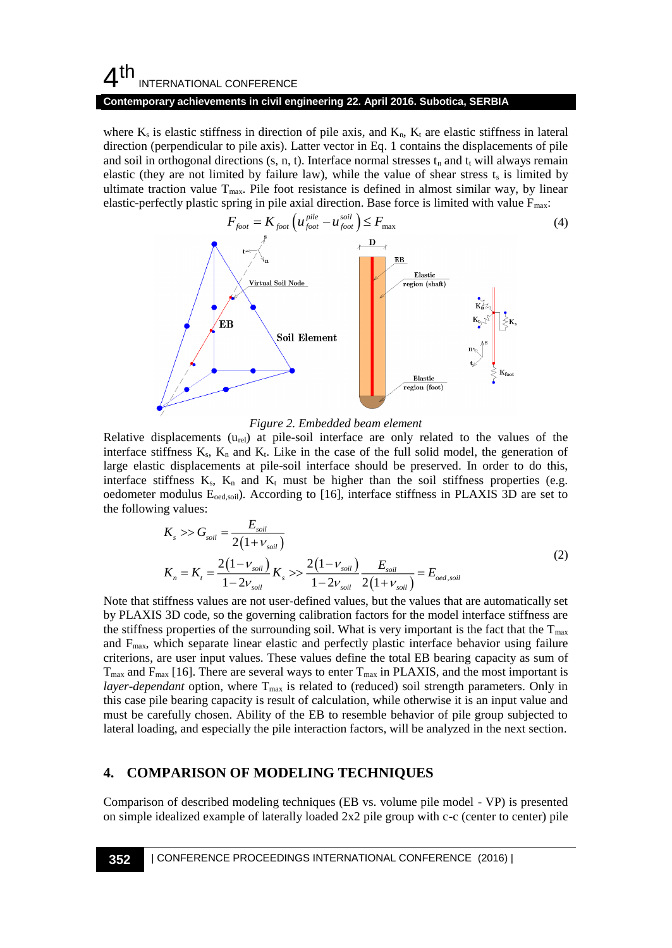#### $4<sup>th</sup>$ INTERNATIONAL CONFERENCE **Contemporary achievements in civil engineering 22. April 2016. Subotica, SERBIA**

where  $K_s$  is elastic stiffness in direction of pile axis, and  $K_n$ ,  $K_t$  are elastic stiffness in lateral direction (perpendicular to pile axis). Latter vector in Eq. 1 contains the displacements of pile and soil in orthogonal directions  $(s, n, t)$ . Interface normal stresses  $t_n$  and  $t_t$  will always remain elastic (they are not limited by failure law), while the value of shear stress  $t_s$  is limited by ultimate traction value  $T_{\text{max}}$ . Pile foot resistance is defined in almost similar way, by linear elastic-perfectly plastic spring in pile axial direction. Base force is limited with value  $F_{\text{max}}$ :



*Figure 2. Embedded beam element*

Relative displacements  $(u_{rel})$  at pile-soil interface are only related to the values of the interface stiffness  $K_s$ ,  $K_n$  and  $K_t$ . Like in the case of the full solid model, the generation of large elastic displacements at pile-soil interface should be preserved. In order to do this, interface stiffness  $K_s$ ,  $K_n$  and  $K_t$  must be higher than the soil stiffness properties (e.g. oedometer modulus E<sub>oed,soi</sub>). According to [16], interface stiffness in PLAXIS 3D are set to the following values:

$$
K_s \gg G_{soil} = \frac{E_{soil}}{2(1 + \nu_{soil})}
$$
  
\n
$$
K_n = K_t = \frac{2(1 - \nu_{soil})}{1 - 2\nu_{soil}} K_s \gg \frac{2(1 - \nu_{soil})}{1 - 2\nu_{soil}} \frac{E_{soil}}{2(1 + \nu_{soil})} = E_{oed,soil}
$$
\n(2)

Note that stiffness values are not user-defined values, but the values that are automatically set by PLAXIS 3D code, so the governing calibration factors for the model interface stiffness are the stiffness properties of the surrounding soil. What is very important is the fact that the  $T_{\text{max}}$ and  $F_{\text{max}}$ , which separate linear elastic and perfectly plastic interface behavior using failure criterions, are user input values. These values define the total EB bearing capacity as sum of  $T_{\text{max}}$  and  $F_{\text{max}}$  [16]. There are several ways to enter  $T_{\text{max}}$  in PLAXIS, and the most important is *layer-dependant* option, where T<sub>max</sub> is related to (reduced) soil strength parameters. Only in this case pile bearing capacity is result of calculation, while otherwise it is an input value and must be carefully chosen. Ability of the EB to resemble behavior of pile group subjected to lateral loading, and especially the pile interaction factors, will be analyzed in the next section.

### **4. COMPARISON OF MODELING TECHNIQUES**

Comparison of described modeling techniques (EB vs. volume pile model - VP) is presented on simple idealized example of laterally loaded 2x2 pile group with c-c (center to center) pile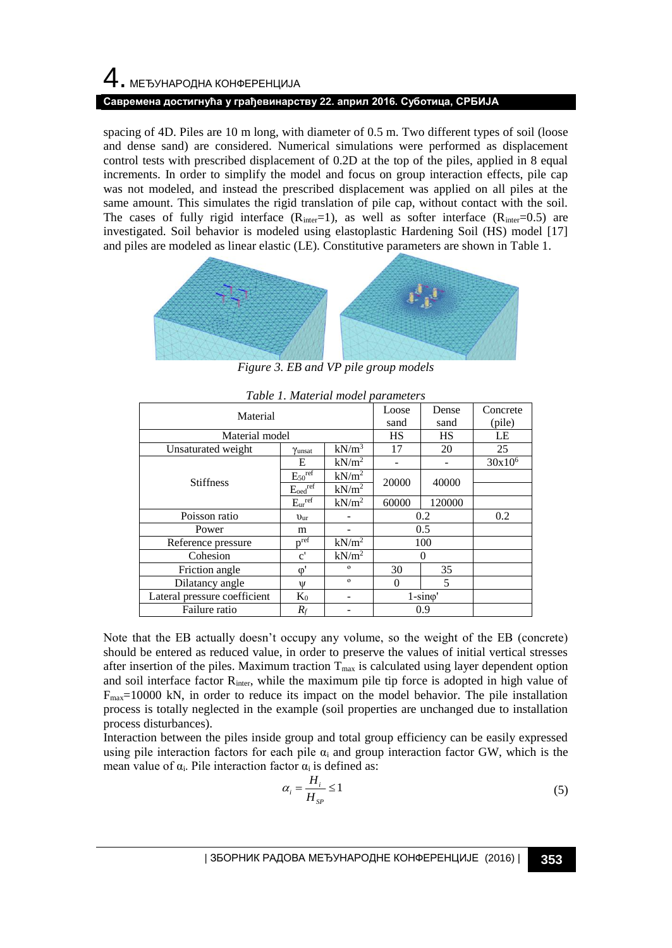# 4. МЕЂУНАРОДНА КОНФЕРЕНЦИЈА **Савремена достигнућа у грађевинарству 22. април 2016. Суботица, СРБИЈА**

spacing of 4D. Piles are 10 m long, with diameter of 0.5 m. Two different types of soil (loose and dense sand) are considered. Numerical simulations were performed as displacement control tests with prescribed displacement of 0.2D at the top of the piles, applied in 8 equal increments. In order to simplify the model and focus on group interaction effects, pile cap was not modeled, and instead the prescribed displacement was applied on all piles at the same amount. This simulates the rigid translation of pile cap, without contact with the soil. The cases of fully rigid interface  $(R<sub>inter</sub>=1)$ , as well as softer interface  $(R<sub>inter</sub>=0.5)$  are investigated. Soil behavior is modeled using elastoplastic Hardening Soil (HS) model [17] and piles are modeled as linear elastic (LE). Constitutive parameters are shown in Table 1.



*Figure 3. EB and VP pile group models*

| Material                     |                          |                   | Loose<br>sand   | Dense<br>sand | Concrete<br>(pile) |
|------------------------------|--------------------------|-------------------|-----------------|---------------|--------------------|
| Material model               |                          |                   | HS              | HS            | LE                 |
| Unsaturated weight           | Yunsat                   | $kN/m^3$          | 17              | 20            | 25                 |
| <b>Stiffness</b>             | E                        | kN/m <sup>2</sup> |                 |               | $30x10^6$          |
|                              | $E_{50}$ <sup>ref</sup>  | kN/m <sup>2</sup> | 20000           | 40000         |                    |
|                              | $E_{oed}$ <sup>ref</sup> | kN/m <sup>2</sup> |                 |               |                    |
|                              | $E_{ur}$ <sup>ref</sup>  | kN/m <sup>2</sup> | 60000           | 120000        |                    |
| Poisson ratio                | $v_{\rm ur}$             |                   | 0.2             |               | 0.2                |
| Power                        | m                        |                   | 0.5             |               |                    |
| Reference pressure           | $v^{ref}$                | kN/m <sup>2</sup> | 100             |               |                    |
| Cohesion                     | $\mathbf{c}^{\prime}$    | kN/m <sup>2</sup> | $\theta$        |               |                    |
| Friction angle               | $\varphi'$               | $\Omega$          | 30              | 35            |                    |
| Dilatancy angle              | Ψ                        | $\Omega$          | 0               | 5             |                    |
| Lateral pressure coefficient | $K_0$                    |                   | $1-sin\varphi'$ |               |                    |
| Failure ratio                | $R_f$                    |                   | 0.9             |               |                    |

*Table 1. Material model parameters*

Note that the EB actually doesn't occupy any volume, so the weight of the EB (concrete) should be entered as reduced value, in order to preserve the values of initial vertical stresses after insertion of the piles. Maximum traction  $T_{\text{max}}$  is calculated using layer dependent option and soil interface factor  $R_{\text{inter}}$ , while the maximum pile tip force is adopted in high value of  $F_{\text{max}}=10000$  kN, in order to reduce its impact on the model behavior. The pile installation process is totally neglected in the example (soil properties are unchanged due to installation process disturbances).

Interaction between the piles inside group and total group efficiency can be easily expressed using pile interaction factors for each pile  $\alpha_i$  and group interaction factor GW, which is the mean value of  $\alpha_i$ . Pile interaction factor  $\alpha_i$  is defined as:

$$
\alpha_i = \frac{H_i}{H_{sp}} \le 1\tag{5}
$$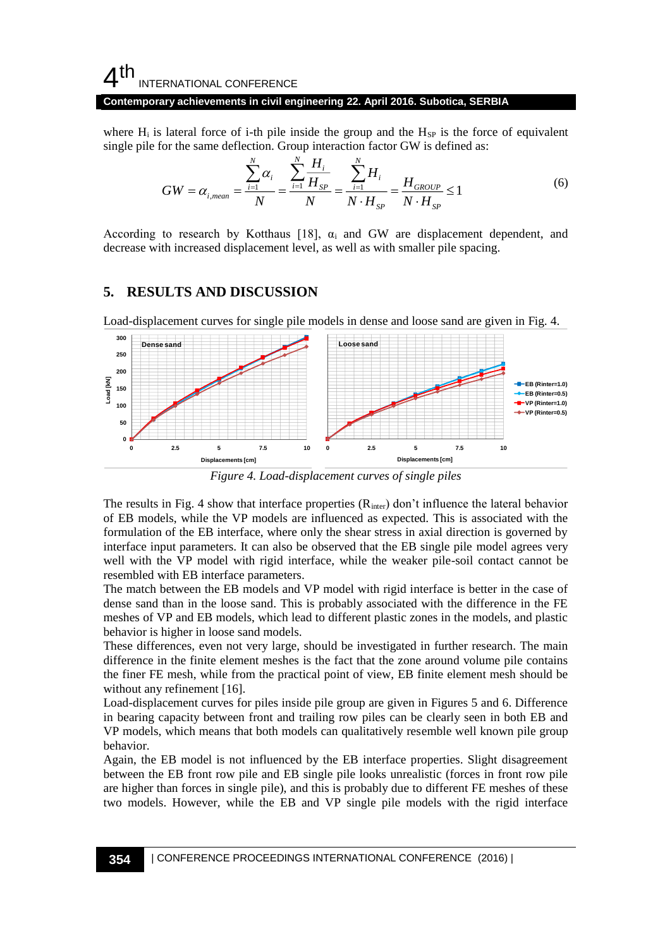#### **Contemporary achievements in civil engineering 22. April 2016. Subotica, SERBIA**

where  $H_i$  is lateral force of i-th pile inside the group and the  $H_{SP}$  is the force of equivalent single pile for the same deflection. Group interaction factor GW is defined as:

$$
GW = \alpha_{i,mean} = \frac{\sum_{i=1}^{N} \alpha_i}{N} = \frac{\sum_{i=1}^{N} \frac{H_i}{H_{SP}}}{N} = \frac{\sum_{i=1}^{N} H_i}{N \cdot H_{SP}} = \frac{H_{GROUP}}{N \cdot H_{SP}} \le 1
$$
(6)

According to research by Kotthaus [18],  $\alpha_i$  and GW are displacement dependent, and decrease with increased displacement level, as well as with smaller pile spacing.

#### **5. RESULTS AND DISCUSSION**



Load-displacement curves for single pile models in dense and loose sand are given in Fig. 4.

*Figure 4. Load-displacement curves of single piles*

The results in Fig. 4 show that interface properties  $(R<sub>inter</sub>)$  don't influence the lateral behavior of EB models, while the VP models are influenced as expected. This is associated with the formulation of the EB interface, where only the shear stress in axial direction is governed by interface input parameters. It can also be observed that the EB single pile model agrees very well with the VP model with rigid interface, while the weaker pile-soil contact cannot be resembled with EB interface parameters.

The match between the EB models and VP model with rigid interface is better in the case of dense sand than in the loose sand. This is probably associated with the difference in the FE meshes of VP and EB models, which lead to different plastic zones in the models, and plastic behavior is higher in loose sand models.

These differences, even not very large, should be investigated in further research. The main difference in the finite element meshes is the fact that the zone around volume pile contains the finer FE mesh, while from the practical point of view, EB finite element mesh should be without any refinement [16].

Load-displacement curves for piles inside pile group are given in Figures 5 and 6. Difference in bearing capacity between front and trailing row piles can be clearly seen in both EB and VP models, which means that both models can qualitatively resemble well known pile group behavior.

Again, the EB model is not influenced by the EB interface properties. Slight disagreement between the EB front row pile and EB single pile looks unrealistic (forces in front row pile are higher than forces in single pile), and this is probably due to different FE meshes of these two models. However, while the EB and VP single pile models with the rigid interface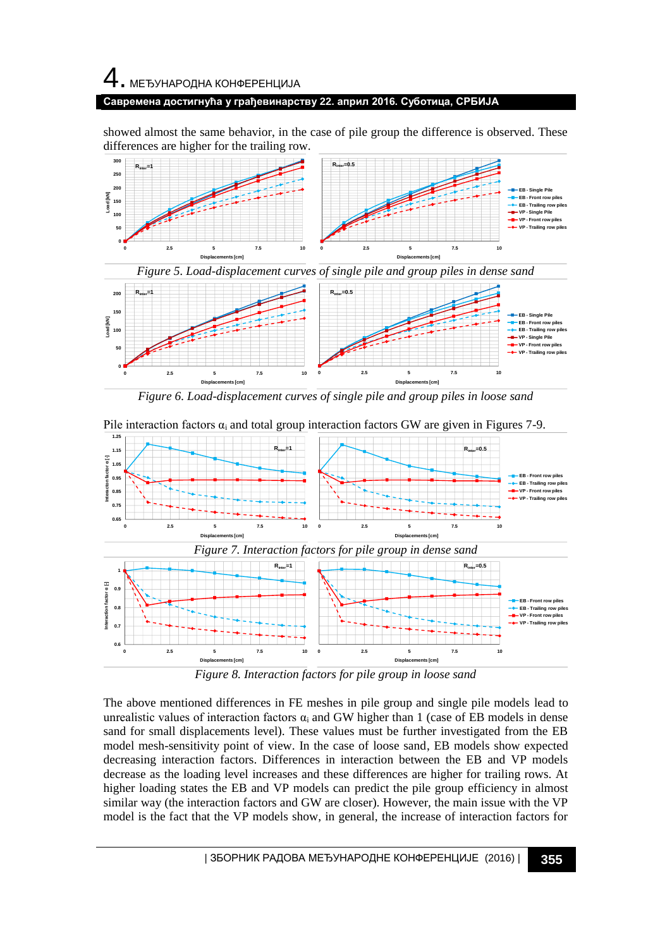# 4. МЕЂУНАРОДНА КОНФЕРЕНЦИЈА **Савремена достигнућа у грађевинарству 22. април 2016. Суботица, СРБИЈА**

showed almost the same behavior, in the case of pile group the difference is observed. These differences are higher for the trailing row.



*Figure 6. Load-displacement curves of single pile and group piles in loose sand*



*Figure 8. Interaction factors for pile group in loose sand*

The above mentioned differences in FE meshes in pile group and single pile models lead to unrealistic values of interaction factors  $\alpha_i$  and GW higher than 1 (case of EB models in dense sand for small displacements level). These values must be further investigated from the EB model mesh-sensitivity point of view. In the case of loose sand, EB models show expected decreasing interaction factors. Differences in interaction between the EB and VP models decrease as the loading level increases and these differences are higher for trailing rows. At higher loading states the EB and VP models can predict the pile group efficiency in almost similar way (the interaction factors and GW are closer). However, the main issue with the VP model is the fact that the VP models show, in general, the increase of interaction factors for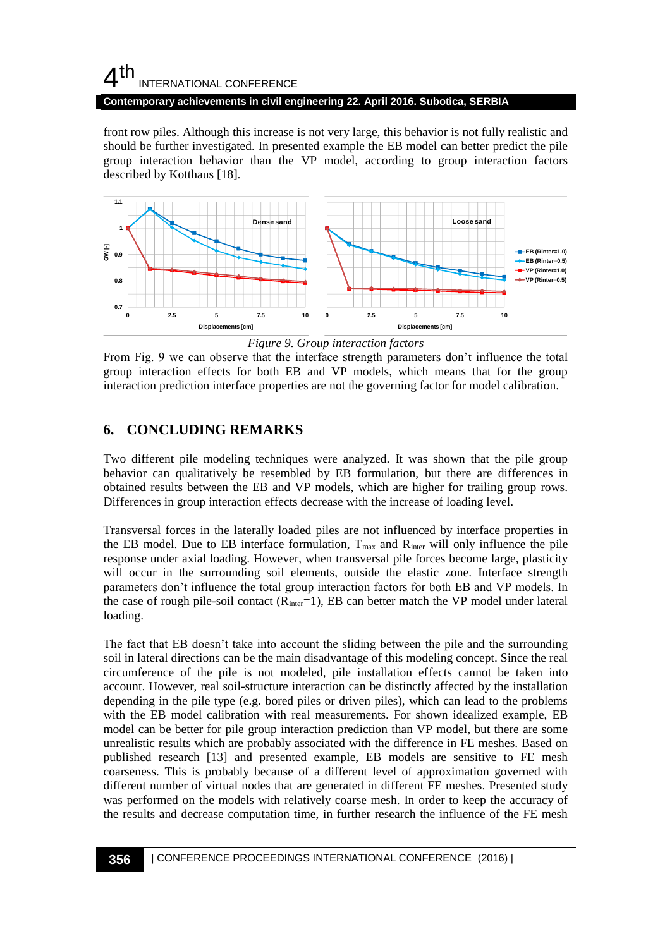**Contemporary achievements in civil engineering 22. April 2016. Subotica, SERBIA**

front row piles. Although this increase is not very large, this behavior is not fully realistic and should be further investigated. In presented example the EB model can better predict the pile group interaction behavior than the VP model, according to group interaction factors described by Kotthaus [18].



*Figure 9. Group interaction factors*

From Fig. 9 we can observe that the interface strength parameters don't influence the total group interaction effects for both EB and VP models, which means that for the group interaction prediction interface properties are not the governing factor for model calibration.

# **6. CONCLUDING REMARKS**

Two different pile modeling techniques were analyzed. It was shown that the pile group behavior can qualitatively be resembled by EB formulation, but there are differences in obtained results between the EB and VP models, which are higher for trailing group rows. Differences in group interaction effects decrease with the increase of loading level.

Transversal forces in the laterally loaded piles are not influenced by interface properties in the EB model. Due to EB interface formulation,  $T_{max}$  and  $R_{inter}$  will only influence the pile response under axial loading. However, when transversal pile forces become large, plasticity will occur in the surrounding soil elements, outside the elastic zone. Interface strength parameters don't influence the total group interaction factors for both EB and VP models. In the case of rough pile-soil contact  $(R<sub>inter</sub>=1)$ , EB can better match the VP model under lateral loading.

The fact that EB doesn't take into account the sliding between the pile and the surrounding soil in lateral directions can be the main disadvantage of this modeling concept. Since the real circumference of the pile is not modeled, pile installation effects cannot be taken into account. However, real soil-structure interaction can be distinctly affected by the installation depending in the pile type (e.g. bored piles or driven piles), which can lead to the problems with the EB model calibration with real measurements. For shown idealized example, EB model can be better for pile group interaction prediction than VP model, but there are some unrealistic results which are probably associated with the difference in FE meshes. Based on published research [13] and presented example, EB models are sensitive to FE mesh coarseness. This is probably because of a different level of approximation governed with different number of virtual nodes that are generated in different FE meshes. Presented study was performed on the models with relatively coarse mesh. In order to keep the accuracy of the results and decrease computation time, in further research the influence of the FE mesh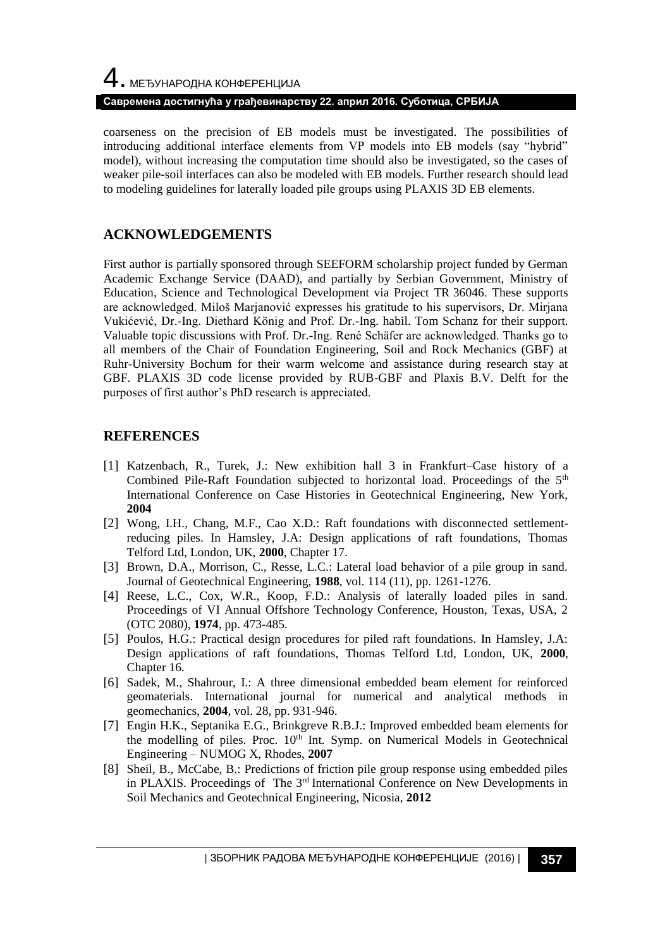# 4. МЕЂУНАРОДНА КОНФЕРЕНЦИЈА **Савремена достигнућа у грађевинарству 22. април 2016. Суботица, СРБИЈА**

coarseness on the precision of EB models must be investigated. The possibilities of introducing additional interface elements from VP models into EB models (say "hybrid" model), without increasing the computation time should also be investigated, so the cases of weaker pile-soil interfaces can also be modeled with EB models. Further research should lead to modeling guidelines for laterally loaded pile groups using PLAXIS 3D EB elements.

# **ACKNOWLEDGEMENTS**

First author is partially sponsored through SEEFORM scholarship project funded by German Academic Exchange Service (DAAD), and partially by Serbian Government, Ministry of Education, Science and Technological Development via Project TR 36046. These supports are acknowledged. Miloš Marjanović expresses his gratitude to his supervisors, Dr. Mirjana Vukićević, Dr.-Ing. Diethard König and Prof. Dr.-Ing. habil. Tom Schanz for their support. Valuable topic discussions with Prof. Dr.-Ing. René Schäfer are acknowledged. Thanks go to all members of the Chair of Foundation Engineering, Soil and Rock Mechanics (GBF) at Ruhr-University Bochum for their warm welcome and assistance during research stay at GBF. PLAXIS 3D code license provided by RUB-GBF and Plaxis B.V. Delft for the purposes of first author's PhD research is appreciated.

# **REFERENCES**

- [1] Katzenbach, R., Turek, J.: New exhibition hall 3 in Frankfurt–Case history of a Combined Pile-Raft Foundation subjected to horizontal load. Proceedings of the  $5<sup>th</sup>$ International Conference on Case Histories in Geotechnical Engineering, New York, **2004**
- [2] Wong, I.H., Chang, M.F., Cao X.D.: Raft foundations with disconnected settlementreducing piles. In Hamsley, J.A: Design applications of raft foundations, Thomas Telford Ltd, London, UK, **2000**, Chapter 17.
- [3] Brown, D.A., Morrison, C., Resse, L.C.: Lateral load behavior of a pile group in sand. Journal of Geotechnical Engineering, **1988**, vol. 114 (11), pp. 1261-1276.
- [4] Reese, L.C., Cox, W.R., Koop, F.D.: Analysis of laterally loaded piles in sand. Proceedings of VI Annual Offshore Technology Conference, Houston, Texas, USA, 2 (OTC 2080), **1974**, pp. 473-485.
- [5] Poulos, H.G.: Practical design procedures for piled raft foundations. In Hamsley, J.A: Design applications of raft foundations, Thomas Telford Ltd, London, UK, **2000**, Chapter 16.
- [6] Sadek, M., Shahrour, I.: A three dimensional embedded beam element for reinforced geomaterials. International journal for numerical and analytical methods in geomechanics, **2004**, vol. 28, pp. 931-946.
- [7] Engin H.K., Septanika E.G., Brinkgreve R.B.J.: Improved embedded beam elements for the modelling of piles. Proc. 10<sup>th</sup> Int. Symp. on Numerical Models in Geotechnical Engineering – NUMOG X, Rhodes, **2007**
- [8] Sheil, B., McCabe, B.: Predictions of friction pile group response using embedded piles in PLAXIS. Proceedings of The 3<sup>rd</sup> International Conference on New Developments in Soil Mechanics and Geotechnical Engineering, Nicosia, **2012**